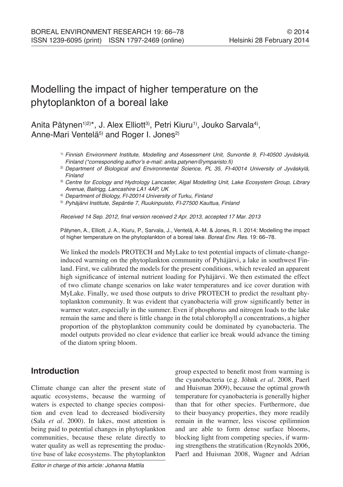# Modelling the impact of higher temperature on the phytoplankton of a boreal lake

Anita Pätynen<sup>1)2)\*</sup>, J. Alex Elliott<sup>3)</sup>, Petri Kiuru<sup>1)</sup>, Jouko Sarvala<sup>4)</sup>, Anne-Mari Ventelä<sup>5)</sup> and Roger I. Jones<sup>2)</sup>

- 1) *Finnish Environment Institute, Modelling and Assessment Unit, Survontie 9, FI-40500 Jyväskylä,*  Finland (\*corresponding author's e-mail: anita.patynen@ymparisto.fi)
- 2) *Department of Biological and Environmental Science, PL 35, FI-40014 University of Jyväskylä, Finland*
- 3) *Centre for Ecology and Hydrology Lancaster, Algal Modelling Unit, Lake Ecosystem Group, Library Avenue, Bailrigg, Lancashire LA1 4AP, UK*
- 4) *Department of Biology, FI-20014 University of Turku, Finland*
- 5) *Pyhäjärvi Institute, Sepäntie 7, Ruukinpuisto, FI-27500 Kauttua, Finland*

Received 14 Sep. 2012, final version received 2 Apr. 2013, accepted 17 Mar. 2013

Pätynen, A., Elliott, J. A., Kiuru, P., Sarvala, J., Ventelä, A.-M. & Jones, R. I. 2014: Modelling the impact of higher temperature on the phytoplankton of a boreal lake. *Boreal Env. Res.* 19: 66–78.

We linked the models PROTECH and MyLake to test potential impacts of climate-changeinduced warming on the phytoplankton community of Pyhäjärvi, a lake in southwest Finland. First, we calibrated the models for the present conditions, which revealed an apparent high significance of internal nutrient loading for Pyhäjärvi. We then estimated the effect of two climate change scenarios on lake water temperatures and ice cover duration with MyLake. Finally, we used those outputs to drive PROTECH to predict the resultant phytoplankton community. It was evident that cyanobacteria will grow significantly better in warmer water, especially in the summer. Even if phosphorus and nitrogen loads to the lake remain the same and there is little change in the total chlorophyll *a* concentrations, a higher proportion of the phytoplankton community could be dominated by cyanobacteria. The model outputs provided no clear evidence that earlier ice break would advance the timing of the diatom spring bloom.

# **Introduction**

Climate change can alter the present state of aquatic ecosystems, because the warming of waters is expected to change species composition and even lead to decreased biodiversity (Sala *et al*. 2000). In lakes, most attention is being paid to potential changes in phytoplankton communities, because these relate directly to water quality as well as representing the productive base of lake ecosystems. The phytoplankton

group expected to benefit most from warming is the cyanobacteria (e.g. Jöhnk *et al*. 2008, Paerl and Huisman 2009), because the optimal growth temperature for cyanobacteria is generally higher than that for other species. Furthermore, due to their buoyancy properties, they more readily remain in the warmer, less viscose epilimnion and are able to form dense surface blooms, blocking light from competing species, if warming strengthens the stratification (Reynolds 2006, Paerl and Huisman 2008, Wagner and Adrian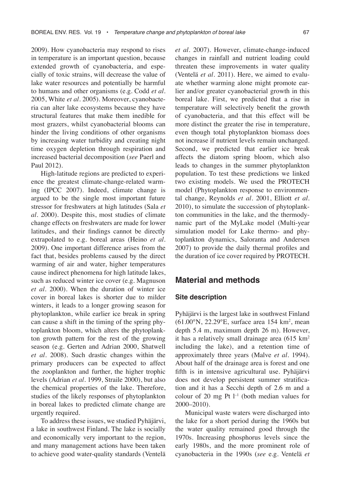2009). How cyanobacteria may respond to rises in temperature is an important question, because extended growth of cyanobacteria, and especially of toxic strains, will decrease the value of lake water resources and potentially be harmful to humans and other organisms (e.g. Codd *et al*. 2005, White *et al*. 2005). Moreover, cyanobacteria can alter lake ecosystems because they have structural features that make them inedible for most grazers, whilst cyanobacterial blooms can hinder the living conditions of other organisms by increasing water turbidity and creating night time oxygen depletion through respiration and increased bacterial decomposition (*see* Paerl and Paul 2012).

High-latitude regions are predicted to experience the greatest climate-change-related warming (IPCC 2007). Indeed, climate change is argued to be the single most important future stressor for freshwaters at high latitudes (Sala *et al*. 2000). Despite this, most studies of climate change effects on freshwaters are made for lower latitudes, and their findings cannot be directly extrapolated to e.g. boreal areas (Heino *et al*. 2009). One important difference arises from the fact that, besides problems caused by the direct warming of air and water, higher temperatures cause indirect phenomena for high latitude lakes, such as reduced winter ice cover (e.g. Magnuson *et al*. 2000). When the duration of winter ice cover in boreal lakes is shorter due to milder winters, it leads to a longer growing season for phytoplankton, while earlier ice break in spring can cause a shift in the timing of the spring phytoplankton bloom, which alters the phytoplankton growth pattern for the rest of the growing season (e.g. Gerten and Adrian 2000, Shatwell *et al.* 2008). Such drastic changes within the primary producers can be expected to affect the zooplankton and further, the higher trophic levels (Adrian *et al.* 1999, Straile 2000), but also the chemical properties of the lake. Therefore, studies of the likely responses of phytoplankton in boreal lakes to predicted climate change are urgently required.

To address these issues, we studied Pyhäjärvi, a lake in southwest Finland. The lake is socially and economically very important to the region, and many management actions have been taken to achieve good water-quality standards (Ventelä

*et al.* 2007). However, climate-change-induced changes in rainfall and nutrient loading could threaten these improvements in water quality (Ventelä *et al*. 2011). Here, we aimed to evaluate whether warming alone might promote earlier and/or greater cyanobacterial growth in this boreal lake. First, we predicted that a rise in temperature will selectively benefit the growth of cyanobacteria, and that this effect will be more distinct the greater the rise in temperature, even though total phytoplankton biomass does not increase if nutrient levels remain unchanged. Second, we predicted that earlier ice break affects the diatom spring bloom, which also leads to changes in the summer phytoplankton population. To test these predictions we linked two existing models. We used the PROTECH model (Phytoplankton response to environmental change, Reynolds *et al*. 2001, Elliott *et al*. 2010), to simulate the succession of phytoplankton communities in the lake, and the thermodynamic part of the MyLake model (Multi-year simulation model for Lake thermo- and phytoplankton dynamics, Saloranta and Andersen 2007) to provide the daily thermal profiles and the duration of ice cover required by PROTECH.

## **Material and methods**

#### **Site description**

Pyhäjärvi is the largest lake in southwest Finland  $(61.00\text{°N}, 22.29\text{°E}, \text{ surface area } 154 \text{ km}^2, \text{ mean})$ depth 5.4 m, maximum depth 26 m). However, it has a relatively small drainage area  $(615 \text{ km}^2)$ including the lake), and a retention time of approximately three years (Malve *et al*. 1994). About half of the drainage area is forest and one fifth is in intensive agricultural use. Pyhäjärvi does not develop persistent summer stratification and it has a Secchi depth of 2.6 m and a colour of 20 mg Pt  $l^{-1}$  (both median values for 2000–2010).

Municipal waste waters were discharged into the lake for a short period during the 1960s but the water quality remained good through the 1970s. Increasing phosphorus levels since the early 1980s, and the more prominent role of cyanobacteria in the 1990s (*see* e.g. Ventelä *et*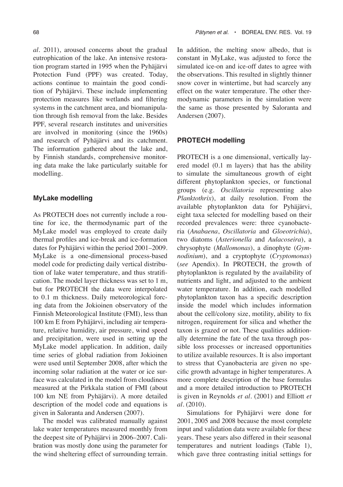*al*. 2011), aroused concerns about the gradual eutrophication of the lake. An intensive restoration program started in 1995 when the Pyhäjärvi Protection Fund (PPF) was created. Today, actions continue to maintain the good condition of Pyhäjärvi. These include implementing protection measures like wetlands and filtering systems in the catchment area, and biomanipulation through fish removal from the lake. Besides PPF, several research institutes and universities are involved in monitoring (since the 1960s) and research of Pyhäjärvi and its catchment. The information gathered about the lake and, by Finnish standards, comprehensive monitoring data make the lake particularly suitable for modelling.

#### **MyLake modelling**

As PROTECH does not currently include a routine for ice, the thermodynamic part of the MyLake model was employed to create daily thermal profiles and ice-break and ice-formation dates for Pyhäjärvi within the period 2001–2009. MyLake is a one-dimensional process-based model code for predicting daily vertical distribution of lake water temperature, and thus stratification. The model layer thickness was set to 1 m, but for PROTECH the data were interpolated to 0.1 m thickness. Daily meteorological forcing data from the Jokioinen observatory of the Finnish Meteorological Institute (FMI), less than 100 km E from Pyhäjärvi, including air temperature, relative humidity, air pressure, wind speed and precipitation, were used in setting up the MyLake model application. In addition, daily time series of global radiation from Jokioinen were used until September 2008, after which the incoming solar radiation at the water or ice surface was calculated in the model from cloudiness measured at the Pirkkala station of FMI (about 100 km NE from Pyhäjärvi). A more detailed description of the model code and equations is given in Saloranta and Andersen (2007).

The model was calibrated manually against lake water temperatures measured monthly from the deepest site of Pyhäjärvi in 2006–2007. Calibration was mostly done using the parameter for the wind sheltering effect of surrounding terrain.

In addition, the melting snow albedo, that is constant in MyLake, was adjusted to force the simulated ice-on and ice-off dates to agree with the observations. This resulted in slightly thinner snow cover in wintertime, but had scarcely any effect on the water temperature. The other thermodynamic parameters in the simulation were the same as those presented by Saloranta and Andersen (2007).

#### **PROTECH modelling**

PROTECH is a one dimensional, vertically layered model (0.1 m layers) that has the ability to simulate the simultaneous growth of eight different phytoplankton species, or functional groups (e.g. *Oscillatoria* representing also *Planktothrix*), at daily resolution. From the available phytoplankton data for Pyhäjärvi, eight taxa selected for modelling based on their recorded prevalences were: three cyanobacteria (*Anabaena*, *Oscillatoria* and *Gloeotrichia*), two diatoms (*Asterionella* and *Aulacoseira*), a chrysophyte (*Mallomonas*), a dinophyte (*Gymnodinium*), and a cryptophyte (*Cryptomonas*) (*see* Apendix). In PROTECH, the growth of phytoplankton is regulated by the availability of nutrients and light, and adjusted to the ambient water temperature. In addition, each modelled phytoplankton taxon has a specific description inside the model which includes information about the cell/colony size, motility, ability to fix nitrogen, requirement for silica and whether the taxon is grazed or not. These qualities additionally determine the fate of the taxa through possible loss processes or increased opportunities to utilize available resources. It is also important to stress that Cyanobacteria are given no specific growth advantage in higher temperatures. A more complete description of the base formulas and a more detailed introduction to PROTECH is given in Reynolds *et al*. (2001) and Elliott *et al*. (2010).

Simulations for Pyhäjärvi were done for 2001, 2005 and 2008 because the most complete input and validation data were available for these years. These years also differed in their seasonal temperatures and nutrient loadings (Table 1), which gave three contrasting initial settings for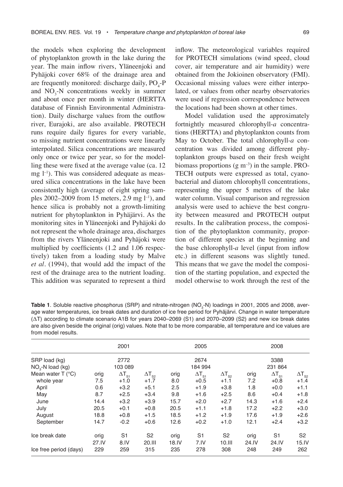the models when exploring the development of phytoplankton growth in the lake during the year. The main inflow rivers, Yläneenjoki and Pyhäjoki cover 68% of the drainage area and are frequently monitored: discharge daily,  $PO<sub>4</sub>-P$ and  $NO<sub>3</sub>$ -N concentrations weekly in summer and about once per month in winter (HERTTA database of Finnish Environmental Administration). Daily discharge values from the outflow river, Eurajoki, are also available. PROTECH runs require daily figures for every variable, so missing nutrient concentrations were linearly interpolated. Silica concentrations are measured only once or twice per year, so for the modelling these were fixed at the average value (ca. 12  $mg$  l<sup>-1</sup>). This was considered adequate as measured silica concentrations in the lake have been consistently high (average of eight spring samples 2002–2009 from 15 meters, 2.9 mg l–1), and hence silica is probably not a growth-limiting nutrient for phytoplankton in Pyhäjärvi. As the monitoring sites in Yläneenjoki and Pyhäjoki do not represent the whole drainage area, discharges from the rivers Yläneenjoki and Pyhäjoki were multiplied by coefficients (1.2 and 1.06 respectively) taken from a loading study by Malve *et al*. (1994), that would add the impact of the rest of the drainage area to the nutrient loading. This addition was separated to represent a third

inflow. The meteorological variables required for PROTECH simulations (wind speed, cloud cover, air temperature and air humidity) were obtained from the Jokioinen observatory (FMI). Occasional missing values were either interpolated, or values from other nearby observatories were used if regression correspondence between the locations had been shown at other times.

Model validation used the approximately fortnightly measured chlorophyll-*a* concentrations (HERTTA) and phytoplankton counts from May to October. The total chlorophyll-*a* concentration was divided among different phytoplankton groups based on their fresh weight biomass proportions  $(g m^{-3})$  in the sample. PRO-TECH outputs were expressed as total, cyanobacterial and diatom chlorophyll concentrations, representing the upper 5 metres of the lake water column. Visual comparison and regression analysis were used to achieve the best congruity between measured and PROTECH output results. In the calibration process, the composition of the phytoplankton community, proportion of different species at the beginning and the base chlorophyll-*a* level (input from inflow etc.) in different seasons was slightly tuned. This means that we gave the model the composition of the starting population, and expected the model otherwise to work through the rest of the

**Table 1**. Soluble reactive phosphorus (SRP) and nitrate-nitrogen (NO<sub>3</sub>-N) loadings in 2001, 2005 and 2008, average water temperatures, ice break dates and duration of ice free period for Pyhäjärvi. Change in water temperature (ΔT) according to climate scenario A1B for years 2040–2069 (S1) and 2070–2099 (S2) and new ice break dates are also given beside the original (orig) values. Note that to be more comparable, all temperature and ice values are from model results.

|                                |               | 2001                   |                          |               | 2005                   |                          |               | 2008                    |                         |
|--------------------------------|---------------|------------------------|--------------------------|---------------|------------------------|--------------------------|---------------|-------------------------|-------------------------|
| SRP load (kg)                  | 2772          |                        |                          | 2674          |                        |                          | 3388          |                         |                         |
| $NO3-N$ load (kg)              | 103 089       |                        |                          | 184 994       |                        |                          | 231 864       |                         |                         |
| Mean water $T$ ( $^{\circ}$ C) | orig          | $\Delta T_{\rm st}$    | $\Delta T_{\text{S2}}$   | orig          | $\Delta T_{\rm st}$    | $\Delta T_{\rm s2}$      | orig          | $\Delta T_{\rm st}$     | $\Delta T_{\rm s2}$     |
| whole year                     | 7.5           | $+1.0$                 | $+1.7$                   | 8.0           | $+0.5$                 | $+1.1$                   | 7.2           | $+0.8$                  | $+1.4$                  |
| April                          | 0.6           | $+3.2$                 | $+5.1$                   | 2.5           | $+1.9$                 | $+3.8$                   | 1.8           | $+0.0$                  | $+1.1$                  |
| May                            | 8.7           | $+2.5$                 | $+3.4$                   | 9.8           | $+1.6$                 | $+2.5$                   | 8.6           | $+0.4$                  | $+1.8$                  |
| June                           | 14.4          | $+3.2$                 | $+3.9$                   | 15.7          | $+2.0$                 | $+2.7$                   | 14.3          | $+1.6$                  | $+2.4$                  |
| July                           | 20.5          | $+0.1$                 | $+0.8$                   | 20.5          | $+1.1$                 | $+1.8$                   | 17.2          | $+2.2$                  | $+3.0$                  |
| August                         | 18.8          | $+0.8$                 | $+1.5$                   | 18.5          | $+1.2$                 | $+1.9$                   | 17.6          | $+1.9$                  | $+2.6$                  |
| September                      | 14.7          | $-0.2$                 | $+0.6$                   | 12.6          | $+0.2$                 | $+1.0$                   | 12.1          | $+2.4$                  | $+3.2$                  |
| Ice break date                 | orig<br>27.IV | S <sub>1</sub><br>8.1V | S <sub>2</sub><br>20.III | orig<br>18.1V | S <sub>1</sub><br>7.1V | S <sub>2</sub><br>10.111 | orig<br>24.IV | S <sub>1</sub><br>24.IV | S <sub>2</sub><br>15.1V |
| Ice free period (days)         | 229           | 259                    | 315                      | 235           | 278                    | 308                      | 248           | 249                     | 262                     |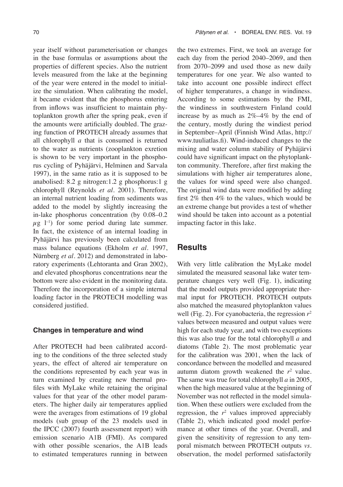year itself without parameterisation or changes in the base formulas or assumptions about the properties of different species. Also the nutrient levels measured from the lake at the beginning of the year were entered in the model to initialize the simulation. When calibrating the model, it became evident that the phosphorus entering from inflows was insufficient to maintain phytoplankton growth after the spring peak, even if the amounts were artificially doubled. The grazing function of PROTECH already assumes that all chlorophyll *a* that is consumed is returned to the water as nutrients (zooplankton exretion is shown to be very important in the phosphorus cycling of Pyhäjärvi, Helminen and Sarvala 1997), in the same ratio as it is supposed to be anabolised: 8.2 g nitrogen:1.2 g phosphorus:1 g chlorophyll (Reynolds *et al*. 2001). Therefore, an internal nutrient loading from sediments was added to the model by slightly increasing the in-lake phosphorus concentration (by 0.08–0.2  $\mu$ g l<sup>-1</sup>) for some period during late summer. In fact, the existence of an internal loading in Pyhäjärvi has previously been calculated from mass balance equations (Ekholm *et al*. 1997, Nürnberg *et al.* 2012) and demonstrated in laboratory experiments (Lehtoranta and Gran 2002), and elevated phosphorus concentrations near the bottom were also evident in the monitoring data. Therefore the incorporation of a simple internal loading factor in the PROTECH modelling was considered justified.

### **Changes in temperature and wind**

After PROTECH had been calibrated according to the conditions of the three selected study years, the effect of altered air temperature on the conditions represented by each year was in turn examined by creating new thermal profiles with MyLake while retaining the original values for that year of the other model parameters. The higher daily air temperatures applied were the averages from estimations of 19 global models (sub group of the 23 models used in the IPCC (2007) fourth assessment report) with emission scenario A1B (FMI). As compared with other possible scenarios, the A1B leads to estimated temperatures running in between

the two extremes. First, we took an average for each day from the period 2040–2069, and then from 2070–2099 and used those as new daily temperatures for one year. We also wanted to take into account one possible indirect effect of higher temperatures, a change in windiness. According to some estimations by the FMI, the windiness in southwestern Finland could increase by as much as 2%–4% by the end of the century, mostly during the windiest period in September–April (Finnish Wind Atlas, http:// www.tuuliatlas.fi). Wind-induced changes to the mixing and water column stability of Pyhäjärvi could have significant impact on the phytoplankton community. Therefore, after first making the simulations with higher air temperatures alone, the values for wind speed were also changed. The original wind data were modified by adding first 2% then 4% to the values, which would be an extreme change but provides a test of whether wind should be taken into account as a potential impacting factor in this lake.

## **Results**

With very little calibration the MyLake model simulated the measured seasonal lake water temperature changes very well (Fig. 1), indicating that the model outputs provided appropriate thermal input for PROTECH. PROTECH outputs also matched the measured phytoplankton values well (Fig. 2). For cyanobacteria, the regression *r*<sup>2</sup> values between measured and output values were high for each study year, and with two exceptions this was also true for the total chlorophyll *a* and diatoms (Table 2). The most problematic year for the calibration was 2001, when the lack of concordance between the modelled and measured autumn diatom growth weakened the  $r^2$  value. The same was true for total chlorophyll *a* in 2005, when the high measured value at the beginning of November was not reflected in the model simulation. When these outliers were excluded from the regression, the  $r^2$  values improved appreciably (Table 2), which indicated good model performance at other times of the year. Overall, and given the sensitivity of regression to any temporal mismatch between PROTECH outputs *vs*. observation, the model performed satisfactorily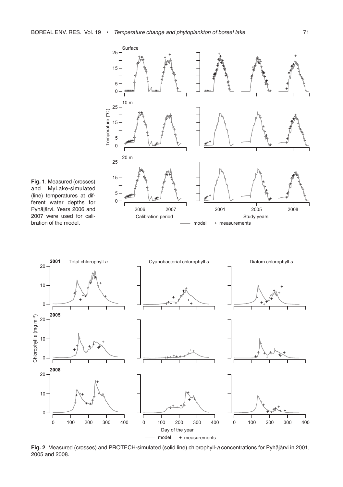

**Fig. 1**. Measured (crosses)<br>and MyLake-simulated MyLake-simulated (line) temperatures at different water depths for Pyhäjärvi. Years 2006 and 2007 were used for calibration of the model.



**Fig. 2**. Measured (crosses) and PROTECH-simulated (solid line) chlorophyll-*a* concentrations for Pyhäjärvi in 2001, 2005 and 2008.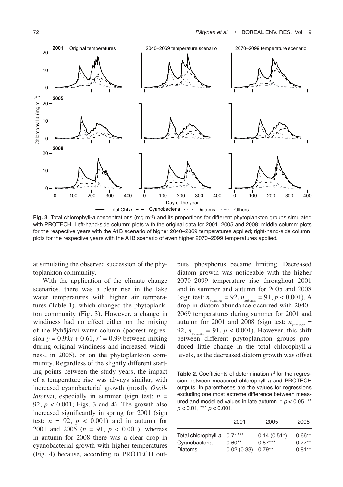

**Fig. 3**. Total chlorophyll-*a* concentrations (mg  $m^{-3}$ ) and its proportions for different phytoplankton groups simulated with PROTECH. Left-hand-side column: plots with the original data for 2001, 2005 and 2008; middle column: plots for the respective years with the A1B scenario of higher 2040–2069 temperatures applied; right-hand-side column: plots for the respective years with the A1B scenario of even higher 2070–2099 temperatures applied.

at simulating the observed succession of the phytoplankton community.

With the application of the climate change scenarios, there was a clear rise in the lake water temperatures with higher air temperatures (Table 1), which changed the phytoplankton community (Fig. 3). However, a change in windiness had no effect either on the mixing of the Pyhäjärvi water column (poorest regres $sion y = 0.99x + 0.61, r^2 = 0.99$  between mixing during original windiness and increased windiness, in 2005), or on the phytoplankton community. Regardless of the slightly different starting points between the study years, the impact of a temperature rise was always similar, with increased cyanobacterial growth (mostly *Oscillatoria*), especially in summer (sign test: *n* = 92,  $p < 0.001$ ; Figs. 3 and 4). The growth also increased significantly in spring for 2001 (sign test:  $n = 92$ ,  $p < 0.001$  and in autumn for 2001 and 2005  $(n = 91, p < 0.001)$ , whereas in autumn for 2008 there was a clear drop in cyanobacterial growth with higher temperatures (Fig. 4) because, according to PROTECH outputs, phosphorus became limiting. Decreased diatom growth was noticeable with the higher 2070–2099 temperature rise throughout 2001 and in summer and autumn for 2005 and 2008 (sign test:  $n_{\text{summer}} = 92$ ,  $n_{\text{autumn}} = 91$ ,  $p < 0.001$ ). A drop in diatom abundance occurred with 2040– 2069 temperatures during summer for 2001 and autumn for 2001 and 2008 (sign test:  $n_{\text{summer}} =$ 92,  $n_{\text{autumn}} = 91$ ,  $p < 0.001$ ). However, this shift between different phytoplankton groups produced little change in the total chlorophyll-*a* levels, as the decreased diatom growth was offset

**Table 2**. Coefficients of determination  $r^2$  for the regression between measured chlorophyll *a* and PROTECH outputs. In parentheses are the values for regressions excluding one most extreme difference between measured and modelled values in late autumn. \* *p* < 0.05, \*\* *p* < 0.01, \*\*\* *p* < 0.001.

|                     | 2001       | 2005             | 2008     |
|---------------------|------------|------------------|----------|
| Total chlorophyll a | $0.71***$  | $0.14(0.51^{*})$ | $0.66**$ |
| Cyanobacteria       | $0.60**$   | $0.87***$        | $0.77**$ |
| Diatoms             | 0.02(0.33) | $0.79**$         | $0.81**$ |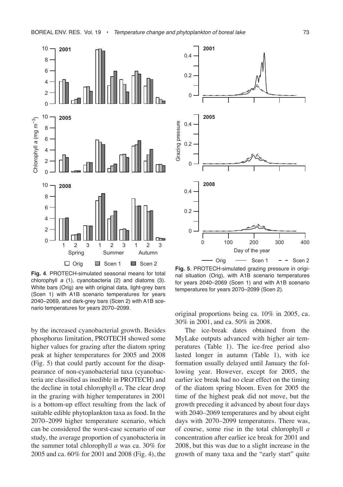

**Fig. 4**. PROTECH-simulated seasonal means for total chlorophyll *a* (1), cyanobacteria (2) and diatoms (3). White bars (Orig) are with original data, light-grey bars (Scen 1) with A1B scenario temperatures for years 2040–2069, and dark-grey bars (Scen 2) with A1B scenario temperatures for years 2070–2099.

by the increased cyanobacterial growth. Besides phosphorus limitation, PROTECH showed some higher values for grazing after the diatom spring peak at higher temperatures for 2005 and 2008 (Fig. 5) that could partly account for the disappearance of non-cyanobacterial taxa (cyanobacteria are classified as inedible in PROTECH) and the decline in total chlorophyll *a*. The clear drop in the grazing with higher temperatures in 2001 is a bottom-up effect resulting from the lack of suitable edible phytoplankton taxa as food. In the 2070–2099 higher temperature scenario, which can be considered the worst-case scenario of our study, the average proportion of cyanobacteria in the summer total chlorophyll *a* was ca. 30% for 2005 and ca. 60% for 2001 and 2008 (Fig. 4), the



**Fig. 5**. PROTECH-simulated grazing pressure in original situation (Orig), with A1B scenario temperatures for years 2040–2069 (Scen 1) and with A1B scenario temperatures for years 2070–2099 (Scen 2).

original proportions being ca. 10% in 2005, ca. 30% in 2001, and ca. 50% in 2008.

The ice-break dates obtained from the MyLake outputs advanced with higher air temperatures (Table 1). The ice-free period also lasted longer in autumn (Table 1), with ice formation usually delayed until January the following year. However, except for 2005, the earlier ice break had no clear effect on the timing of the diatom spring bloom. Even for 2005 the time of the highest peak did not move, but the growth preceding it advanced by about four days with 2040–2069 temperatures and by about eight days with 2070–2099 temperatures. There was, of course, some rise in the total chlorophyll *a* concentration after earlier ice break for 2001 and 2008, but this was due to a slight increase in the growth of many taxa and the "early start" quite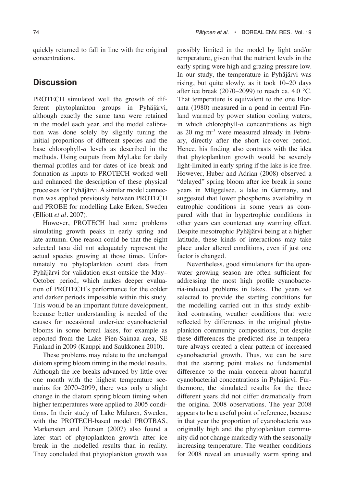quickly returned to fall in line with the original concentrations.

## **Discussion**

PROTECH simulated well the growth of different phytoplankton groups in Pyhäjärvi, although exactly the same taxa were retained in the model each year, and the model calibration was done solely by slightly tuning the initial proportions of different species and the base chlorophyll-*a* levels as described in the methods. Using outputs from MyLake for daily thermal profiles and for dates of ice break and formation as inputs to PROTECH worked well and enhanced the description of these physical processes for Pyhäjärvi. A similar model connection was applied previously between PROTECH and PROBE for modelling Lake Erken, Sweden (Elliott *et al*. 2007).

However, PROTECH had some problems simulating growth peaks in early spring and late autumn. One reason could be that the eight selected taxa did not adequately represent the actual species growing at those times. Unfortunately no phytoplankton count data from Pyhäjärvi for validation exist outside the May– October period, which makes deeper evaluation of PROTECH's performance for the colder and darker periods impossible within this study. This would be an important future development, because better understanding is needed of the causes for occasional under-ice cyanobacterial blooms in some boreal lakes, for example as reported from the Lake Pien-Saimaa area, SE Finland in 2009 (Kauppi and Saukkonen 2010).

These problems may relate to the unchanged diatom spring bloom timing in the model results. Although the ice breaks advanced by little over one month with the highest temperature scenarios for 2070–2099, there was only a slight change in the diatom spring bloom timing when higher temperatures were applied to 2005 conditions. In their study of Lake Mälaren, Sweden, with the PROTECH-based model PROTBAS, Markensten and Pierson (2007) also found a later start of phytoplankton growth after ice break in the modelled results than in reality. They concluded that phytoplankton growth was

possibly limited in the model by light and/or temperature, given that the nutrient levels in the early spring were high and grazing pressure low. In our study, the temperature in Pyhäjärvi was rising, but quite slowly, as it took 10–20 days after ice break (2070–2099) to reach ca.  $4.0 \text{ °C}$ . That temperature is equivalent to the one Eloranta (1980) measured in a pond in central Finland warmed by power station cooling waters, in which chlorophyll-*a* concentrations as high as  $20$  mg  $m^{-3}$  were measured already in February, directly after the short ice-cover period. Hence, his finding also contrasts with the idea that phytoplankton growth would be severely light-limited in early spring if the lake is ice free. However, Huber and Adrian (2008) observed a "delayed" spring bloom after ice break in some years in Müggelsee, a lake in Germany, and suggested that lower phosphorus availability in eutrophic conditions in some years as compared with that in hypertrophic conditions in other years can counteract any warming effect. Despite mesotrophic Pyhäjärvi being at a higher latitude, these kinds of interactions may take place under altered conditions, even if just one factor is changed.

Nevertheless, good simulations for the openwater growing season are often sufficient for addressing the most high profile cyanobacteria-induced problems in lakes. The years we selected to provide the starting conditions for the modelling carried out in this study exhibited contrasting weather conditions that were reflected by differences in the original phytoplankton community compositions, but despite these differences the predicted rise in temperature always created a clear pattern of increased cyanobacterial growth. Thus, we can be sure that the starting point makes no fundamental difference to the main concern about harmful cyanobacterial concentrations in Pyhäjärvi. Furthermore, the simulated results for the three different years did not differ dramatically from the original 2008 observations. The year 2008 appears to be a useful point of reference, because in that year the proportion of cyanobacteria was originally high and the phytoplankton community did not change markedly with the seasonally increasing temperature. The weather conditions for 2008 reveal an unusually warm spring and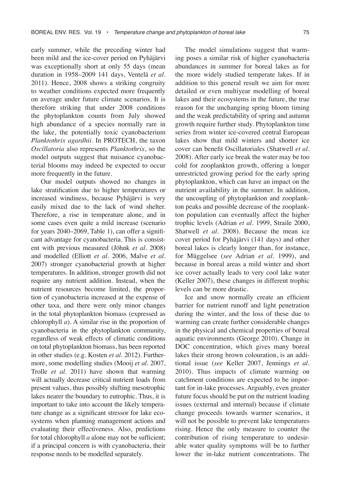early summer, while the preceding winter had been mild and the ice-cover period on Pyhäjärvi was exceptionally short at only 55 days (mean duration in 1958–2009 141 days, Ventelä *et al*. 2011). Hence, 2008 shows a striking congruity to weather conditions expected more frequently on average under future climate scenarios. It is therefore striking that under 2008 conditions the phytoplankton counts from July showed high abundance of a species normally rare in the lake, the potentially toxic cyanobacterium *Planktothrix agardhii*. In PROTECH, the taxon *Oscillatoria* also represents *Planktothrix*, so the model outputs suggest that nuisance cyanobacterial blooms may indeed be expected to occur more frequently in the future.

Our model outputs showed no changes in lake stratification due to higher temperatures or increased windiness, because Pyhäjärvi is very easily mixed due to the lack of wind shelter. Therefore, a rise in temperature alone, and in some cases even quite a mild increase (scenario for years 2040–2069, Table 1), can offer a significant advantage for cyanobacteria. This is consistent with previous measured (Jöhnk *et al*. 2008) and modelled (Elliott *et al*. 2006, Malve *et al.* 2007) stronger cyanobacterial growth at higher temperatures. In addition, stronger growth did not require any nutrient addition. Instead, when the nutrient resources become limited, the proportion of cyanobacteria increased at the expense of other taxa, and there were only minor changes in the total phytoplankton biomass (expressed as chlorophyll *a*). A similar rise in the proportion of cyanobacteria in the phytoplankton community, regardless of weak effects of climatic conditions on total phytoplankton biomass, has been reported in other studies (e.g. Kosten *et al*. 2012). Furthermore, some modelling studies (Mooij *et al.* 2007, Trolle *et al.* 2011) have shown that warming will actually decrease critical nutrient loads from present values, thus possibly shifting mesotrophic lakes nearer the boundary to eutrophic. Thus, it is important to take into account the likely temperature change as a significant stressor for lake ecosystems when planning management actions and evaluating their effectiveness. Also, predictions for total chlorophyll *a* alone may not be sufficient; if a principal concern is with cyanobacteria, their response needs to be modelled separately.

The model simulations suggest that warming poses a similar risk of higher cyanobacteria abundances in summer for boreal lakes as for the more widely studied temperate lakes. If in addition to this general result we aim for more detailed or even multiyear modelling of boreal lakes and their ecosystems in the future, the true reason for the unchanging spring bloom timing and the weak predictability of spring and autumn growth require further study. Phytoplankton time series from winter ice-covered central European lakes show that mild winters and shorter ice cover can benefit Oscillatoriales (Shatwell *et al*. 2008). After early ice break the water may be too cold for zooplankton growth, offering a longer unrestricted growing period for the early spring phytoplankton, which can have an impact on the nutrient availability in the summer. In addition, the uncoupling of phytoplankton and zooplankton peaks and possible decrease of the zooplankton population can eventually affect the higher trophic levels (Adrian *et al.* 1999, Straile 2000, Shatwell *et al.* 2008). Because the mean ice cover period for Pyhäjärvi (141 days) and other boreal lakes is clearly longer than, for instance, for Müggelsee (*see* Adrian *et al.* 1999), and because in boreal areas a mild winter and short ice cover actually leads to very cool lake water (Keller 2007), these changes in different trophic levels can be more drastic.

Ice and snow normally create an efficient barrier for nutrient runoff and light penetration during the winter, and the loss of these due to warming can create further considerable changes in the physical and chemical properties of boreal aquatic environments (George 2010). Change in DOC concentration, which gives many boreal lakes their strong brown colouration, is an additional issue (*see* Keller 2007, Jennings *et al.* 2010). Thus impacts of climate warming on catchment conditions are expected to be important for in-lake processes. Arguably, even greater future focus should be put on the nutrient loading issues (external and internal) because if climate change proceeds towards warmer scenarios, it will not be possible to prevent lake temperatures rising. Hence the only measure to counter the contribution of rising temperature to undesirable water quality symptoms will be to further lower the in-lake nutrient concentrations. The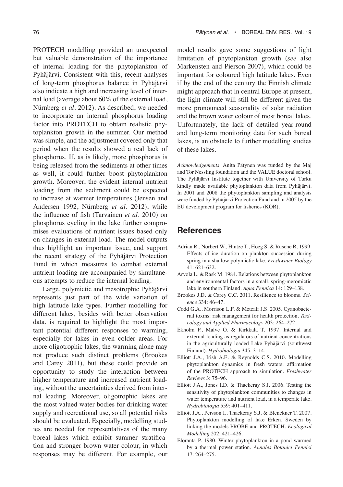PROTECH modelling provided an unexpected but valuable demonstration of the importance of internal loading for the phytoplankton of Pyhäjärvi. Consistent with this, recent analyses of long-term phosphorus balance in Pyhäjärvi also indicate a high and increasing level of internal load (average about 60% of the external load, Nürnberg *et al.* 2012). As described, we needed to incorporate an internal phosphorus loading factor into PROTECH to obtain realistic phytoplankton growth in the summer. Our method was simple, and the adjustment covered only that period when the results showed a real lack of phosphorus. If, as is likely, more phosphorus is being released from the sediments at other times as well, it could further boost phytoplankton growth. Moreover, the evident internal nutrient loading from the sediment could be expected to increase at warmer temperatures (Jensen and Andersen 1992, Nürnberg *et al.* 2012), while the influence of fish (Tarvainen *et al*. 2010) on phosphorus cycling in the lake further compromises evaluations of nutrient issues based only on changes in external load. The model outputs thus highlight an important issue, and support the recent strategy of the Pyhäjärvi Protection Fund in which measures to combat external nutrient loading are accompanied by simultaneous attempts to reduce the internal loading.

Large, polymictic and mesotrophic Pyhäjärvi represents just part of the wide variation of high latitude lake types. Further modelling for different lakes, besides with better observation data, is required to highlight the most important potential different responses to warming, especially for lakes in even colder areas. For more oligotrophic lakes, the warming alone may not produce such distinct problems (Brookes and Carey 2011), but these could provide an opportunity to study the interaction between higher temperature and increased nutrient loading, without the uncertainties derived from internal loading. Moreover, oligotrophic lakes are the most valued water bodies for drinking water supply and recreational use, so all potential risks should be evaluated. Especially, modelling studies are needed for representatives of the many boreal lakes which exhibit summer stratification and stronger brown water colour, in which responses may be different. For example, our

model results gave some suggestions of light limitation of phytoplankton growth (*see* also Markensten and Pierson 2007), which could be important for coloured high latitude lakes. Even if by the end of the century the Finnish climate might approach that in central Europe at present, the light climate will still be different given the more pronounced seasonality of solar radiation and the brown water colour of most boreal lakes. Unfortunately, the lack of detailed year-round and long-term monitoring data for such boreal lakes, is an obstacle to further modelling studies of these lakes.

*Acknowledgements*: Anita Pätynen was funded by the Maj and Tor Nessling foundation and the VALUE doctoral school. The Pyhäjärvi Institute together with University of Turku kindly made available phytoplankton data from Pyhäjärvi. In 2001 and 2008 the phytoplankton sampling and analysis were funded by Pyhäjärvi Protection Fund and in 2005 by the EU development program for fisheries (KOR).

## **References**

- Adrian R., Norbert W., Hintze T., Hoeg S. & Rusche R. 1999. Effects of ice duration on plankton succession during spring in a shallow polymictic lake. *Freshwater Biology* 41: 621–632.
- Arvola L. & Rask M. 1984. Relations between phytoplankton and environmental factors in a small, spring-meromictic lake in southern Finland. *Aqua Fennica* 14: 129–138.
- Brookes J.D. & Carey C.C. 2011. Resilience to blooms. *Science* 334: 46–47.
- Codd G.A., Morrison L.F. & Metcalf J.S. 2005. Cyanobacterial toxins: risk management for health protection. *Toxicology and Applied Pharmacology* 203: 264–272.
- Ekholm P., Malve O. & Kirkkala T. 1997. Internal and external loading as regulators of nutrient concentrations in the agriculturally loaded Lake Pyhäjärvi (southwest Finland). *Hydrobiologia* 345: 3–14.
- Elliott J.A., Irish A.E. & Reynolds C.S. 2010. Modelling phytoplankton dynamics in fresh waters: affirmation of the PROTECH approach to simulation. *Freshwater Reviews* 3: 75–96.
- Elliott J.A., Jones I.D. & Thackeray S.J. 2006. Testing the sensitivity of phytoplankton communities to changes in water temperature and nutrient load, in a temperate lake. *Hydrobiologia* 559: 401–411.
- Elliott J.A., Persson I., Thackeray S.J. & Blenckner T. 2007. Phytoplankton modelling of lake Erken, Sweden by linking the models PROBE and PROTECH. *Ecological Modelling* 202: 421–426.
- Eloranta P. 1980. Winter phytoplankton in a pond warmed by a thermal power station. *Annales Botanici Fennici* 17: 264–275.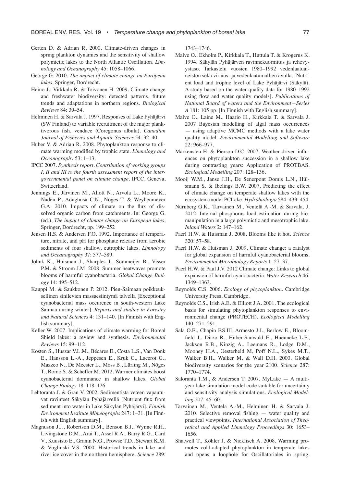- Gerten D. & Adrian R. 2000. Climate-driven changes in spring plankton dynamics and the sensitivity of shallow polymictic lakes to the North Atlantic Oscillation. *Limnology and Oceanography* 45: 1058–1066.
- George G. 2010. *The impact of climate change on European lakes*. Springer, Dordrecht.
- Heino J., Virkkala R. & Toivonen H. 2009. Climate change and freshwater biodiversity: detected patterns, future trends and adaptations in northern regions. *Biological Reviews* 84: 39–54.
- Helminen H. & Sarvala J. 1997. Responses of Lake Pyhäjärvi (SW Finland) to variable recruitment of the major planktivorous fish, vendace (Coregonus albula). *Canadian Journal of Fisheries and Aquatic Sciences* 54: 32–40.
- Huber V. & Adrian R. 2008. Phytoplankton response to climate warming modified by trophic state. *Limnology and Oceanography* 53: 1–13.
- IPCC 2007. *Synthesis report. Contribution of working groups I, II and III to the fourth assessment report of the intergovernmental panel on climate change*. IPCC, Geneva, Switzerland.
- Jennings E., Järvinen M., Allott N., Arvola L., Moore K., Naden P., Aonghusa C.N., Nõges T. & Weyhenmeyer G.A. 2010. Impacts of climate on the flux of dissolved organic carbon from catchments. In: George G. (ed.), *The impact of climate change on European lakes*, Springer, Dordrecht, pp. 199–252
- Jensen H.S. & Andersen F.O. 1992. Importance of temperature, nitrate, and pH for phosphate release from aerobic sediments of four shallow, eutrophic lakes. *Limnology and Oceanography* 37: 577–589.
- Jöhnk K., Huisman J., Sharples J., Sommeijer B., Visser P.M. & Stroom J.M. 2008. Summer heatwaves promote blooms of harmful cyanobacteria. *Global Change Biology* 14: 495–512.
- Kauppi M. & Saukkonen P. 2012. Pien-Saimaan poikkeuksellinen sinilevien massaesiintymä talvella [Exceptional cyanobacterial mass occurence in south-western Lake Saimaa during winter]. *Reports and studies in Forestry and Natural Sciences* 4: 131–140. [In Finnish with English summary].
- Keller W. 2007. Implications of climate warming for Boreal Shield lakes: a review and synthesis. *Environmental Reviews* 15: 99–112.
- Kosten S., Huszar V.L.M., Bécares E., Costa L.S., Van Donk E., Hansson L.-A., Jeppesen E., Kruk C., Lacerot G., Mazzeo N., De Meester L., Moss B., Lürling M., Nõges T., Romo S. & Scheffer M. 2012. Warmer climates boost cyanobacterial dominance in shallow lakes. *Global Change Biology* 18: 118–126.
- Lehtoranta J. & Gran V. 2002. Sedimentistä veteen vapautuvat ravinteet Säkylän Pyhäjärvellä [Nutrient flux from sediment into water in Lake Säkylän Pyhäjärvi]. *Finnish Environment Institute Mimeographs* 247: 1–31. [In Finnish with English summary].
- Magnuson J.J., Robertson D.M., Benson B.J., Wynne R.H., Livingstone D.M., Arai T., Assel R.A., Barry R.G., Card V., Kuusisto E., Granin N.G., Prowse T.D., Stewart K.M. & Vuglinski V.S. 2000. Historical trends in lake and river ice cover in the northern hemisphere. *Science* 289:

1743–1746.

- Malve O., Ekholm P., Kirkkala T., Huttula T. & Krogerus K. 1994. Säkylän Pyhäjärven ravinnekuormitus ja rehevyystaso. Tarkastelu vuosien 1980–1992 vedenlaatuaineiston sekä virtaus- ja vedenlaatumallien avulla. [Nutrient load and trophic level of Lake Pyhäjärvi (Säkylä). A study based on the water quality data for 1980–1992 using flow and water quality models]. *Publications of National Board of waters and the Environment—Series A* 181: 105 pp. [In Finnish with English summary].
- Malve O., Laine M., Haario H., Kirkkala T. & Sarvala J. 2007 Bayesian modelling of algal mass occurrences — using adaptive MCMC methods with a lake water quality model. *Environmental Modelling and Software* 22: 966–977.
- Markensten H. & Pierson D.C. 2007. Weather driven influences on phytoplankton succession in a shallow lake during contrasting years: Application of PROTBAS. *Ecological Modelling* 207: 128–136.
- Mooij W.M., Janse J.H., De Senerpont Domis L.N., Hülsmann S. & Ibelings B.W. 2007. Predicting the effect of climate change on temperate shallow lakes with the ecosystem model PCLake. *Hydrobiologia* 584: 433–454.
- Nürnberg G.K., Tarvainen M., Ventelä A.-M. & Sarvala, J. 2012. Internal phosphorus load estimation during biomanipulation in a large polymictic and mesotrophic lake. *Inland Waters* 2: 147–162.
- Paerl H.W. & Huisman J. 2008. Blooms like it hot. *Science* 320: 57–58.
- Paerl H.W. & Huisman J. 2009. Climate change: a catalyst for global expansion of harmful cyanobacterial blooms. *Environmental Microbiology Reports* 1: 27–37.
- Paerl H.W. & Paul J.V. 2012 Climate change: Links to global expansion of harmful cyanobacteria. *Water Research* 46: 1349–1363.
- Reynolds C.S. 2006. *Ecology of phytoplankton*. Cambridge University Press, Cambridge.
- Reynolds C.S., Irish A.E. & Elliott J.A. 2001. The ecological basis for simulating phytoplankton responses to environmental change (PROTECH). *Ecological Modelling* 140: 271–291.
- Sala O.E., Chapin F.S.III, Armesto J.J., Berlow E., Bloomfield J., Dirzo R., Huber-Sanwald E., Huenneke L.F., Jackson R.B., Kinzig A., Leemans R., Lodge D.M., Mooney H.A., Oesterheld M, Poff N.L., Sykes M.T., Walker B.H., Walker M. & Wall D.H. 2000. Global biodiversity scenarios for the year 2100. *Science* 287: 1770–1774.
- Saloranta T.M., & Andersen T. 2007. MyLake A multiyear lake simulation model code suitable for uncertainty and sensitivity analysis simulations. *Ecological Modelling* 207: 45–60.
- Tarvainen M., Ventelä A.-M., Helminen H. & Sarvala J. 2010. Selective removal fishing — water quality and practical viewpoints. *International Association of Theoretical and Applied Limnology Proceedings* 30: 1653– 1656.
- Shatwell T., Köhler J. & Nicklisch A. 2008. Warming promotes cold-adapted phytoplankton in temperate lakes and opens a loophole for Oscillatoriales in spring.